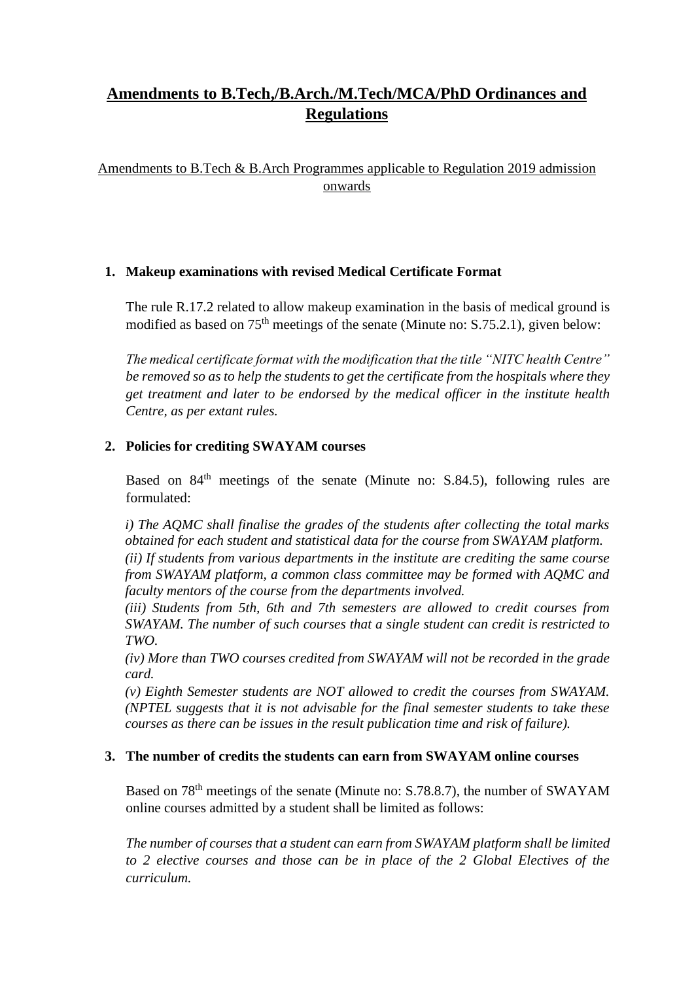# **Amendments to B.Tech,/B.Arch./M.Tech/MCA/PhD Ordinances and Regulations**

Amendments to B.Tech & B.Arch Programmes applicable to Regulation 2019 admission onwards

## **1. Makeup examinations with revised Medical Certificate Format**

The rule R.17.2 related to allow makeup examination in the basis of medical ground is modified as based on 75th meetings of the senate (Minute no: S.75.2.1), given below:

*The medical certificate format with the modification that the title "NITC health Centre" be removed so as to help the students to get the certificate from the hospitals where they get treatment and later to be endorsed by the medical officer in the institute health Centre, as per extant rules.*

## **2. Policies for crediting SWAYAM courses**

Based on  $84<sup>th</sup>$  meetings of the senate (Minute no: S.84.5), following rules are formulated:

*i) The AQMC shall finalise the grades of the students after collecting the total marks obtained for each student and statistical data for the course from SWAYAM platform. (ii) If students from various departments in the institute are crediting the same course from SWAYAM platform, a common class committee may be formed with AQMC and faculty mentors of the course from the departments involved.* 

*(iii) Students from 5th, 6th and 7th semesters are allowed to credit courses from SWAYAM. The number of such courses that a single student can credit is restricted to TWO.* 

*(iv) More than TWO courses credited from SWAYAM will not be recorded in the grade card.* 

*(v) Eighth Semester students are NOT allowed to credit the courses from SWAYAM. (NPTEL suggests that it is not advisable for the final semester students to take these courses as there can be issues in the result publication time and risk of failure).* 

## **3. The number of credits the students can earn from SWAYAM online courses**

Based on 78th meetings of the senate (Minute no: S.78.8.7), the number of SWAYAM online courses admitted by a student shall be limited as follows:

*The number of courses that a student can earn from SWAYAM platform shall be limited to 2 elective courses and those can be in place of the 2 Global Electives of the curriculum.*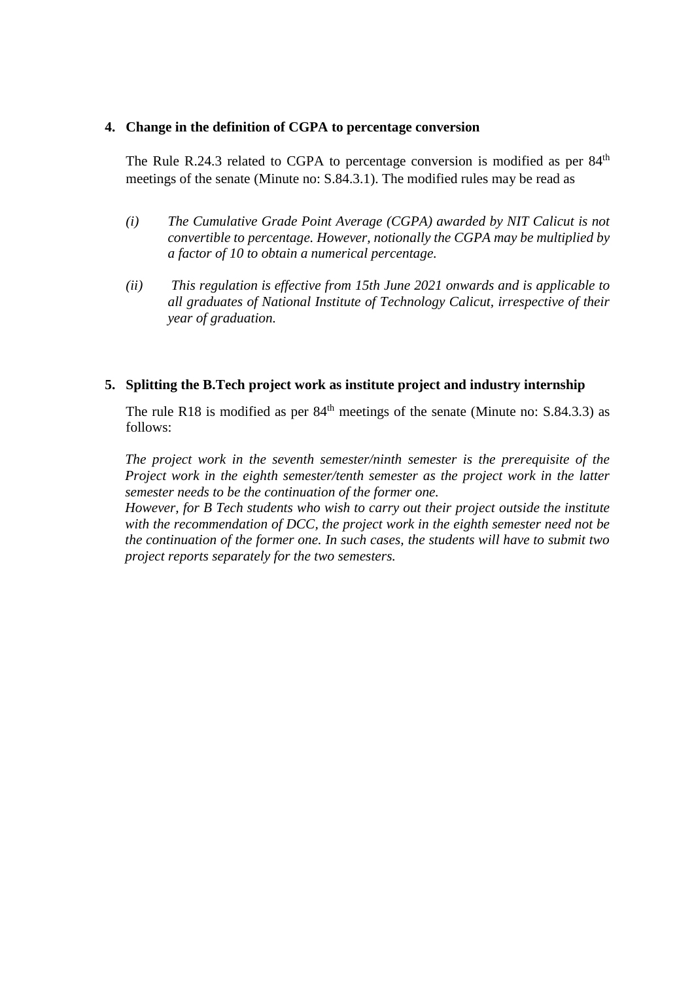#### **4. Change in the definition of CGPA to percentage conversion**

The Rule R.24.3 related to CGPA to percentage conversion is modified as per  $84<sup>th</sup>$ meetings of the senate (Minute no: S.84.3.1). The modified rules may be read as

- *(i) The Cumulative Grade Point Average (CGPA) awarded by NIT Calicut is not convertible to percentage. However, notionally the CGPA may be multiplied by a factor of 10 to obtain a numerical percentage.*
- *(ii) This regulation is effective from 15th June 2021 onwards and is applicable to all graduates of National Institute of Technology Calicut, irrespective of their year of graduation.*

#### **5. Splitting the B.Tech project work as institute project and industry internship**

The rule R18 is modified as per  $84<sup>th</sup>$  meetings of the senate (Minute no: S.84.3.3) as follows:

*The project work in the seventh semester/ninth semester is the prerequisite of the Project work in the eighth semester/tenth semester as the project work in the latter semester needs to be the continuation of the former one.* 

*However, for B Tech students who wish to carry out their project outside the institute with the recommendation of DCC, the project work in the eighth semester need not be the continuation of the former one. In such cases, the students will have to submit two project reports separately for the two semesters.*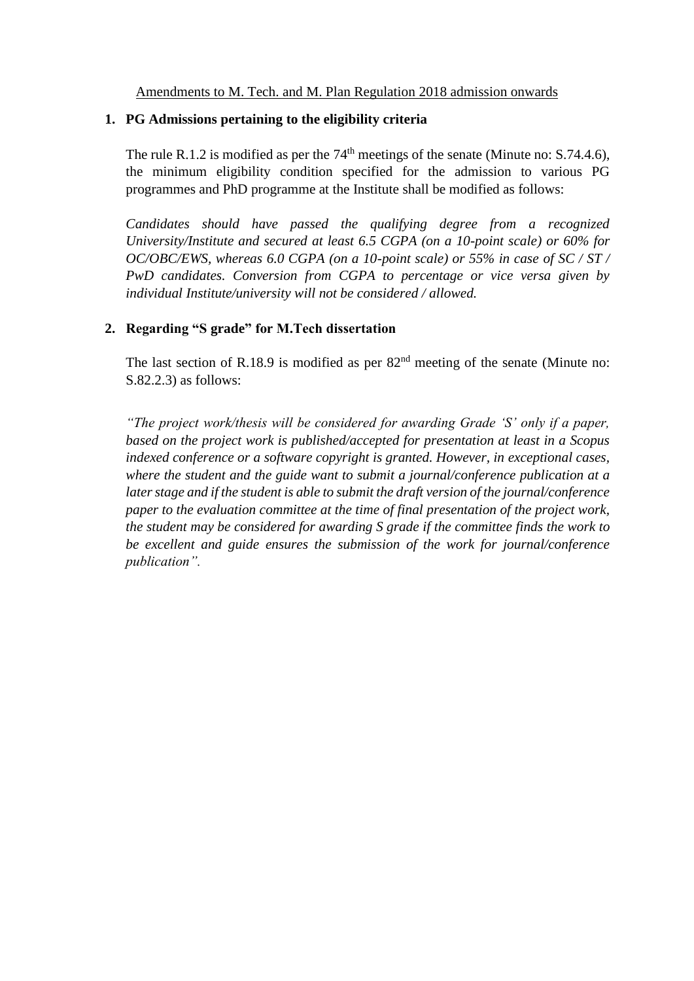Amendments to M. Tech. and M. Plan Regulation 2018 admission onwards

#### **1. PG Admissions pertaining to the eligibility criteria**

The rule R.1.2 is modified as per the  $74<sup>th</sup>$  meetings of the senate (Minute no: S.74.4.6), the minimum eligibility condition specified for the admission to various PG programmes and PhD programme at the Institute shall be modified as follows:

*Candidates should have passed the qualifying degree from a recognized University/Institute and secured at least 6.5 CGPA (on a 10-point scale) or 60% for OC/OBC/EWS, whereas 6.0 CGPA (on a 10-point scale) or 55% in case of SC / ST / PwD candidates. Conversion from CGPA to percentage or vice versa given by individual Institute/university will not be considered / allowed.*

## **2. Regarding "S grade" for M.Tech dissertation**

The last section of R.18.9 is modified as per  $82<sup>nd</sup>$  meeting of the senate (Minute no: S.82.2.3) as follows:

*"The project work/thesis will be considered for awarding Grade 'S' only if a paper, based on the project work is published/accepted for presentation at least in a Scopus indexed conference or a software copyright is granted. However, in exceptional cases, where the student and the guide want to submit a journal/conference publication at a later stage and if the student is able to submit the draft version of the journal/conference paper to the evaluation committee at the time of final presentation of the project work, the student may be considered for awarding S grade if the committee finds the work to be excellent and guide ensures the submission of the work for journal/conference publication".*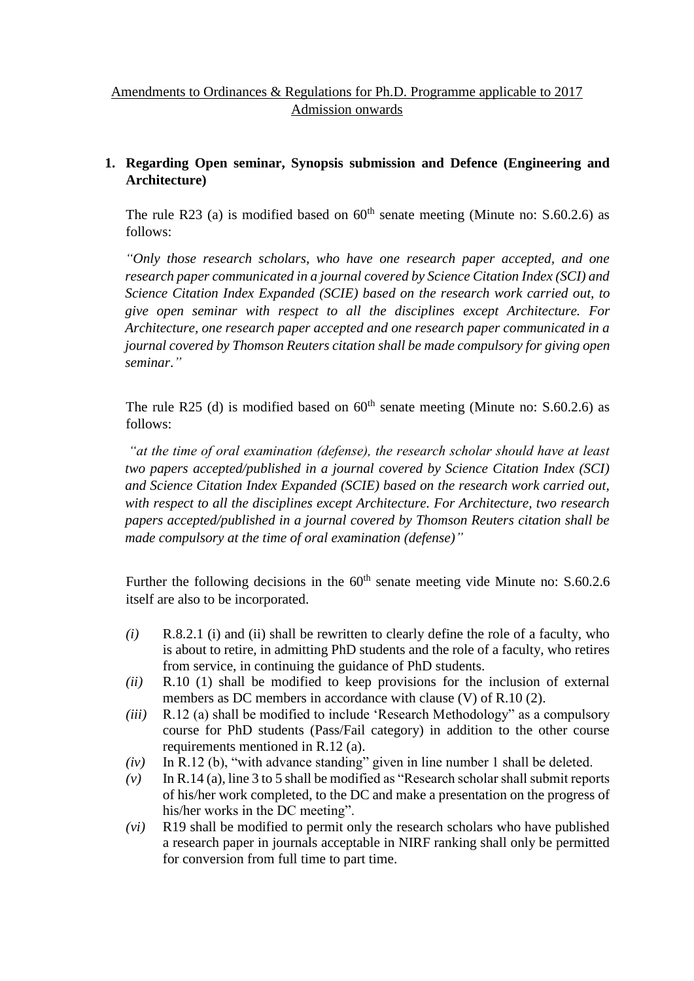## Amendments to Ordinances & Regulations for Ph.D. Programme applicable to 2017 Admission onwards

## **1. Regarding Open seminar, Synopsis submission and Defence (Engineering and Architecture)**

The rule R23 (a) is modified based on  $60<sup>th</sup>$  senate meeting (Minute no: S.60.2.6) as follows:

*"Only those research scholars, who have one research paper accepted, and one research paper communicated in a journal covered by Science Citation Index (SCI) and Science Citation Index Expanded (SCIE) based on the research work carried out, to give open seminar with respect to all the disciplines except Architecture. For Architecture, one research paper accepted and one research paper communicated in a journal covered by Thomson Reuters citation shall be made compulsory for giving open seminar*.*"*

The rule R25 (d) is modified based on  $60<sup>th</sup>$  senate meeting (Minute no: S.60.2.6) as follows:

*"at the time of oral examination (defense), the research scholar should have at least two papers accepted/published in a journal covered by Science Citation Index (SCI) and Science Citation Index Expanded (SCIE) based on the research work carried out, with respect to all the disciplines except Architecture. For Architecture, two research papers accepted/published in a journal covered by Thomson Reuters citation shall be made compulsory at the time of oral examination (defense)"*

Further the following decisions in the  $60<sup>th</sup>$  senate meeting vide Minute no: S.60.2.6 itself are also to be incorporated.

- *(i)* R.8.2.1 (i) and (ii) shall be rewritten to clearly define the role of a faculty, who is about to retire, in admitting PhD students and the role of a faculty, who retires from service, in continuing the guidance of PhD students.
- *(ii)* R.10 (1) shall be modified to keep provisions for the inclusion of external members as DC members in accordance with clause (V) of R.10 (2).
- *(iii)* R.12 (a) shall be modified to include 'Research Methodology" as a compulsory course for PhD students (Pass/Fail category) in addition to the other course requirements mentioned in R.12 (a).
- *(iv)* In R.12 (b), "with advance standing" given in line number 1 shall be deleted.
- *(v)* In R.14 (a), line 3 to 5 shall be modified as "Research scholar shall submit reports of his/her work completed, to the DC and make a presentation on the progress of his/her works in the DC meeting".
- *(vi)* R19 shall be modified to permit only the research scholars who have published a research paper in journals acceptable in NIRF ranking shall only be permitted for conversion from full time to part time.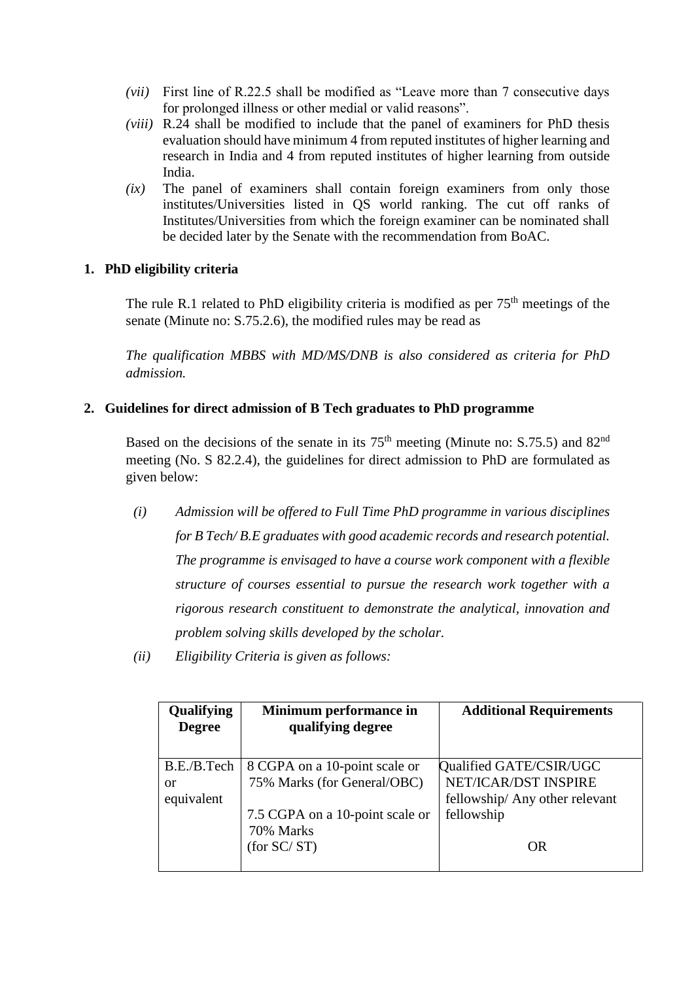- *(vii)* First line of R.22.5 shall be modified as "Leave more than 7 consecutive days for prolonged illness or other medial or valid reasons".
- *(viii)* R.24 shall be modified to include that the panel of examiners for PhD thesis evaluation should have minimum 4 from reputed institutes of higher learning and research in India and 4 from reputed institutes of higher learning from outside India.
- *(ix)* The panel of examiners shall contain foreign examiners from only those institutes/Universities listed in QS world ranking. The cut off ranks of Institutes/Universities from which the foreign examiner can be nominated shall be decided later by the Senate with the recommendation from BoAC.

## **1. PhD eligibility criteria**

The rule R.1 related to PhD eligibility criteria is modified as per  $75<sup>th</sup>$  meetings of the senate (Minute no: S.75.2.6), the modified rules may be read as

*The qualification MBBS with MD/MS/DNB is also considered as criteria for PhD admission.*

#### **2. Guidelines for direct admission of B Tech graduates to PhD programme**

Based on the decisions of the senate in its  $75<sup>th</sup>$  meeting (Minute no: S.75.5) and 82<sup>nd</sup> meeting (No. S 82.2.4), the guidelines for direct admission to PhD are formulated as given below:

- *(i) Admission will be offered to Full Time PhD programme in various disciplines for B Tech/ B.E graduates with good academic records and research potential. The programme is envisaged to have a course work component with a flexible structure of courses essential to pursue the research work together with a rigorous research constituent to demonstrate the analytical, innovation and problem solving skills developed by the scholar.*
- *(ii) Eligibility Criteria is given as follows:*

| Qualifying<br><b>Degree</b> | Minimum performance in<br>qualifying degree | <b>Additional Requirements</b> |
|-----------------------------|---------------------------------------------|--------------------------------|
| B.E./B.Tech                 | 8 CGPA on a 10-point scale or               | Qualified GATE/CSIR/UGC        |
| or                          | 75% Marks (for General/OBC)                 | NET/ICAR/DST INSPIRE           |
| equivalent                  |                                             | fellowship/ Any other relevant |
|                             | 7.5 CGPA on a 10-point scale or             | fellowship                     |
|                             | 70% Marks                                   |                                |
|                             | (for SC/ST)                                 | OR                             |
|                             |                                             |                                |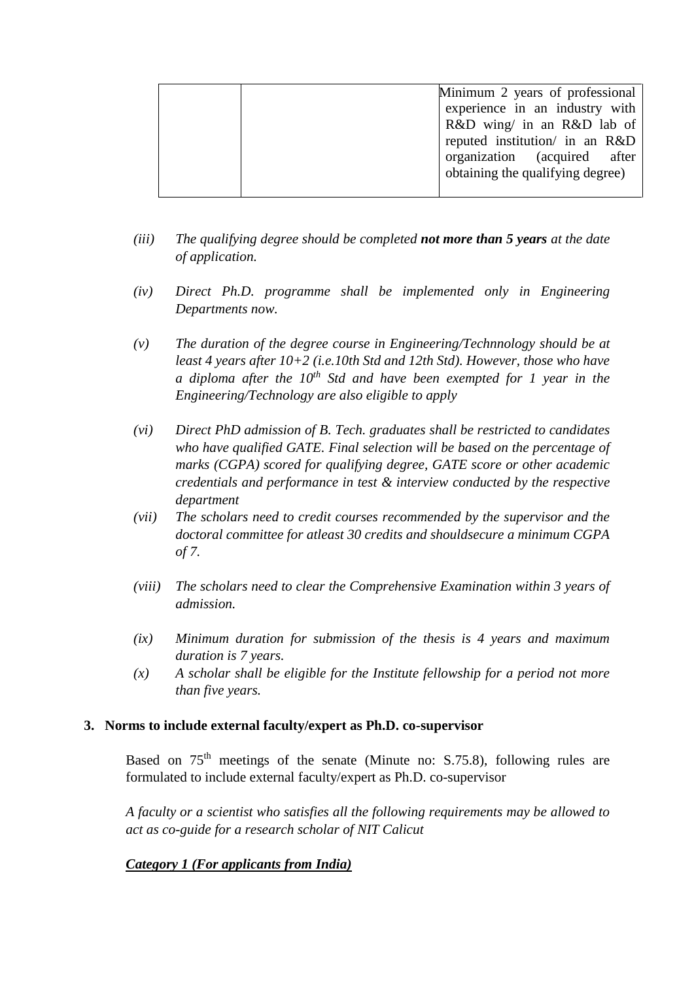| Minimum 2 years of professional  |
|----------------------------------|
| experience in an industry with   |
| R&D wing/ in an R&D lab of       |
| reputed institution/ in an R&D   |
| organization (acquired after     |
| obtaining the qualifying degree) |
|                                  |

- *(iii) The qualifying degree should be completed not more than 5 years at the date of application.*
- *(iv) Direct Ph.D. programme shall be implemented only in Engineering Departments now.*
- *(v) The duration of the degree course in Engineering/Technnology should be at least 4 years after 10+2 (i.e.10th Std and 12th Std). However, those who have a diploma after the 10th Std and have been exempted for 1 year in the Engineering/Technology are also eligible to apply*
- *(vi) Direct PhD admission of B. Tech. graduates shall be restricted to candidates who have qualified GATE. Final selection will be based on the percentage of marks (CGPA) scored for qualifying degree, GATE score or other academic credentials and performance in test & interview conducted by the respective department*
- *(vii) The scholars need to credit courses recommended by the supervisor and the doctoral committee for atleast 30 credits and shouldsecure a minimum CGPA of 7.*
- *(viii) The scholars need to clear the Comprehensive Examination within 3 years of admission.*
- *(ix) Minimum duration for submission of the thesis is 4 years and maximum duration is 7 years.*
- *(x) A scholar shall be eligible for the Institute fellowship for a period not more than five years.*

## **3. Norms to include external faculty/expert as Ph.D. co-supervisor**

Based on  $75<sup>th</sup>$  meetings of the senate (Minute no: S.75.8), following rules are formulated to include external faculty/expert as Ph.D. co-supervisor

*A faculty or a scientist who satisfies all the following requirements may be allowed to act as co-guide for a research scholar of NIT Calicut*

## *Category 1 (For applicants from India)*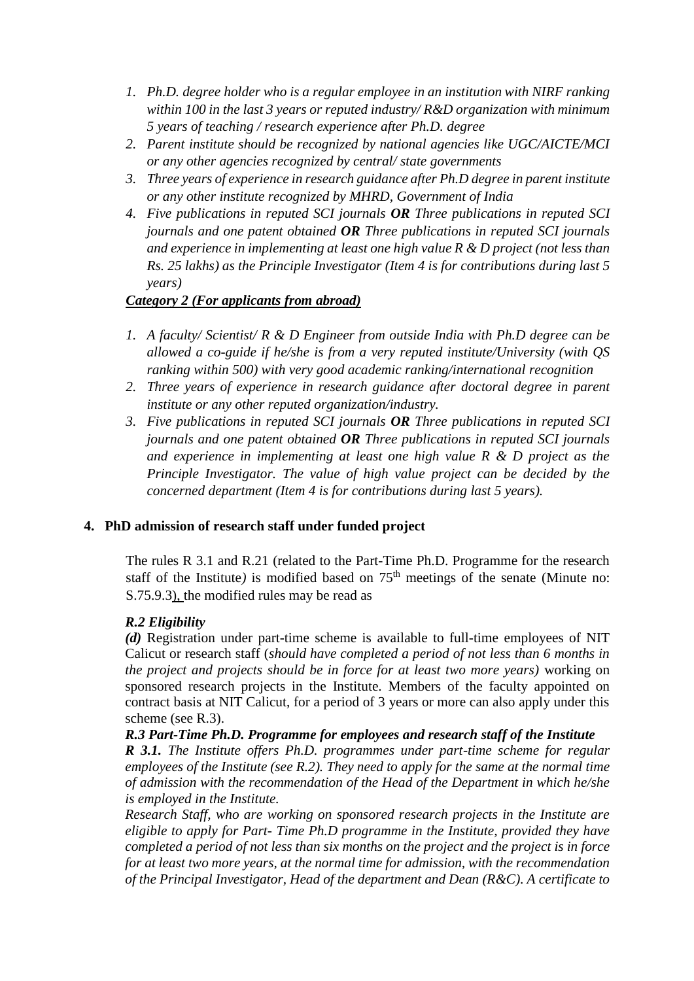- *1. Ph.D. degree holder who is a regular employee in an institution with NIRF ranking within 100 in the last 3 years or reputed industry/ R&D organization with minimum 5 years of teaching / research experience after Ph.D. degree*
- *2. Parent institute should be recognized by national agencies like UGC/AICTE/MCI or any other agencies recognized by central/ state governments*
- *3. Three years of experience in research guidance after Ph.D degree in parent institute or any other institute recognized by MHRD, Government of India*
- *4. Five publications in reputed SCI journals OR Three publications in reputed SCI journals and one patent obtained OR Three publications in reputed SCI journals and experience in implementing at least one high value R & D project (not less than Rs. 25 lakhs) as the Principle Investigator (Item 4 is for contributions during last 5 years)*

## *Category 2 (For applicants from abroad)*

- *1. A faculty/ Scientist/ R & D Engineer from outside India with Ph.D degree can be allowed a co-guide if he/she is from a very reputed institute/University (with QS ranking within 500) with very good academic ranking/international recognition*
- 2. *Three years of experience in research guidance after doctoral degree in parent institute or any other reputed organization/industry.*
- *3. Five publications in reputed SCI journals OR Three publications in reputed SCI journals and one patent obtained OR Three publications in reputed SCI journals and experience in implementing at least one high value R & D project as the Principle Investigator. The value of high value project can be decided by the concerned department (Item 4 is for contributions during last 5 years).*

## **4. PhD admission of research staff under funded project**

The rules R 3.1 and R.21 (related to the Part-Time Ph.D. Programme for the research staff of the Institute) is modified based on 75<sup>th</sup> meetings of the senate (Minute no: S.75.9.3), the modified rules may be read as

## *R.2 Eligibility*

*(d)* Registration under part-time scheme is available to full-time employees of NIT Calicut or research staff (*should have completed a period of not less than 6 months in the project and projects should be in force for at least two more years)* working on sponsored research projects in the Institute. Members of the faculty appointed on contract basis at NIT Calicut, for a period of 3 years or more can also apply under this scheme (see R.3).

## *R.3 Part-Time Ph.D. Programme for employees and research staff of the Institute*

*R 3.1. The Institute offers Ph.D. programmes under part-time scheme for regular employees of the Institute (see R.2). They need to apply for the same at the normal time of admission with the recommendation of the Head of the Department in which he/she is employed in the Institute.*

*Research Staff, who are working on sponsored research projects in the Institute are eligible to apply for Part- Time Ph.D programme in the Institute, provided they have completed a period of not less than six months on the project and the project is in force for at least two more years, at the normal time for admission, with the recommendation of the Principal Investigator, Head of the department and Dean (R&C). A certificate to*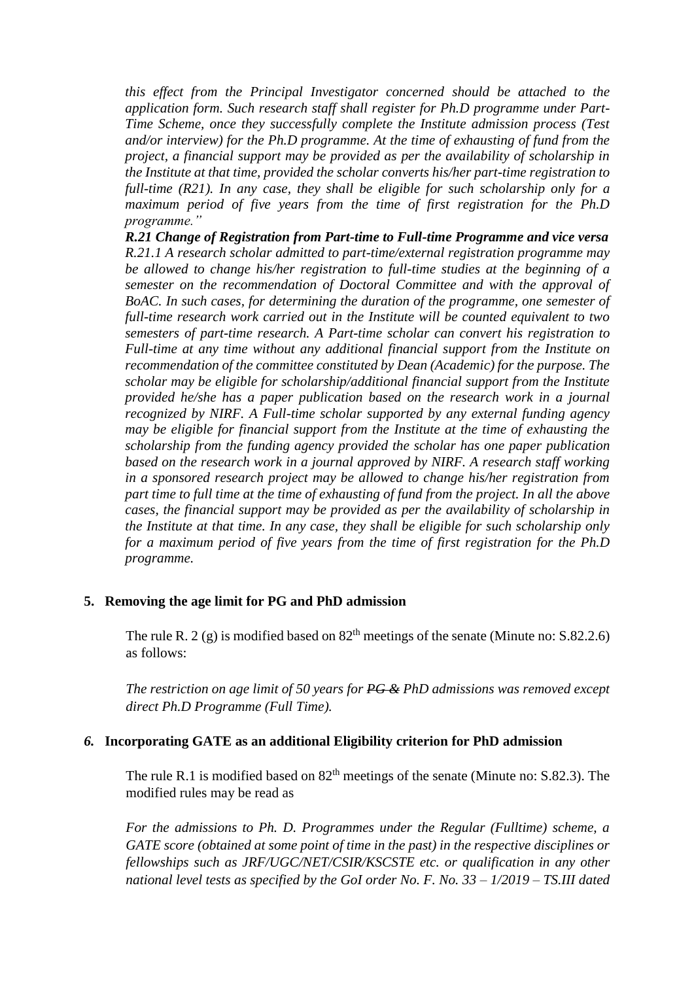*this effect from the Principal Investigator concerned should be attached to the application form. Such research staff shall register for Ph.D programme under Part-Time Scheme, once they successfully complete the Institute admission process (Test and/or interview) for the Ph.D programme. At the time of exhausting of fund from the project, a financial support may be provided as per the availability of scholarship in the Institute at that time, provided the scholar converts his/her part-time registration to full-time (R21). In any case, they shall be eligible for such scholarship only for a maximum period of five years from the time of first registration for the Ph.D programme."* 

*R.21 Change of Registration from Part-time to Full-time Programme and vice versa R.21.1 A research scholar admitted to part-time/external registration programme may be allowed to change his/her registration to full-time studies at the beginning of a semester on the recommendation of Doctoral Committee and with the approval of BoAC. In such cases, for determining the duration of the programme, one semester of full-time research work carried out in the Institute will be counted equivalent to two semesters of part-time research. A Part-time scholar can convert his registration to Full-time at any time without any additional financial support from the Institute on recommendation of the committee constituted by Dean (Academic) for the purpose. The scholar may be eligible for scholarship/additional financial support from the Institute provided he/she has a paper publication based on the research work in a journal recognized by NIRF. A Full-time scholar supported by any external funding agency may be eligible for financial support from the Institute at the time of exhausting the scholarship from the funding agency provided the scholar has one paper publication based on the research work in a journal approved by NIRF. A research staff working in a sponsored research project may be allowed to change his/her registration from part time to full time at the time of exhausting of fund from the project. In all the above cases, the financial support may be provided as per the availability of scholarship in the Institute at that time. In any case, they shall be eligible for such scholarship only for a maximum period of five years from the time of first registration for the Ph.D programme.*

#### **5. Removing the age limit for PG and PhD admission**

The rule R. 2 (g) is modified based on  $82<sup>th</sup>$  meetings of the senate (Minute no: S.82.2.6) as follows:

*The restriction on age limit of 50 years for PG & PhD admissions was removed except direct Ph.D Programme (Full Time).*

#### *6.* **Incorporating GATE as an additional Eligibility criterion for PhD admission**

The rule R.1 is modified based on  $82<sup>th</sup>$  meetings of the senate (Minute no: S.82.3). The modified rules may be read as

*For the admissions to Ph. D. Programmes under the Regular (Fulltime) scheme, a GATE score (obtained at some point of time in the past) in the respective disciplines or fellowships such as JRF/UGC/NET/CSIR/KSCSTE etc. or qualification in any other national level tests as specified by the GoI order No. F. No. 33 – 1/2019 – TS.III dated*